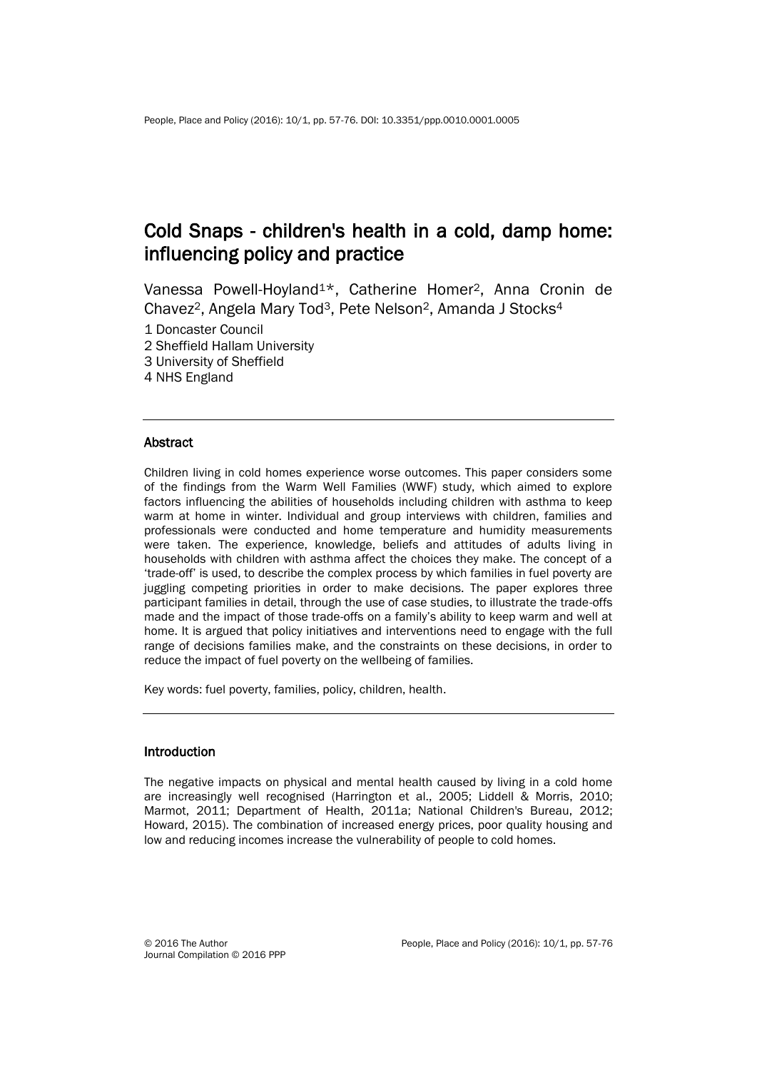# Cold Snaps - children's health in a cold, damp home: influencing policy and practice

Vanessa Powell-Hoyland1\*, Catherine Homer2, Anna Cronin de Chavez2, Angela Mary Tod3, Pete Nelson2, Amanda J Stocks<sup>4</sup>

1 Doncaster Council

2 Sheffield Hallam University

3 University of Sheffield

4 NHS England

#### **Abstract**

Children living in cold homes experience worse outcomes. This paper considers some of the findings from the Warm Well Families (WWF) study, which aimed to explore factors influencing the abilities of households including children with asthma to keep warm at home in winter. Individual and group interviews with children, families and professionals were conducted and home temperature and humidity measurements were taken. The experience, knowledge, beliefs and attitudes of adults living in households with children with asthma affect the choices they make. The concept of a 'trade-off' is used, to describe the complex process by which families in fuel poverty are juggling competing priorities in order to make decisions. The paper explores three participant families in detail, through the use of case studies, to illustrate the trade-offs made and the impact of those trade-offs on a family's ability to keep warm and well at home. It is argued that policy initiatives and interventions need to engage with the full range of decisions families make, and the constraints on these decisions, in order to reduce the impact of fuel poverty on the wellbeing of families.

Key words: fuel poverty, families, policy, children, health.

#### **Introduction**

The negative impacts on physical and mental health caused by living in a cold home are increasingly well recognised (Harrington et al., 2005; Liddell & Morris, 2010; Marmot, 2011; Department of Health, 2011a; National Children's Bureau, 2012; Howard, 2015). The combination of increased energy prices, poor quality housing and low and reducing incomes increase the vulnerability of people to cold homes.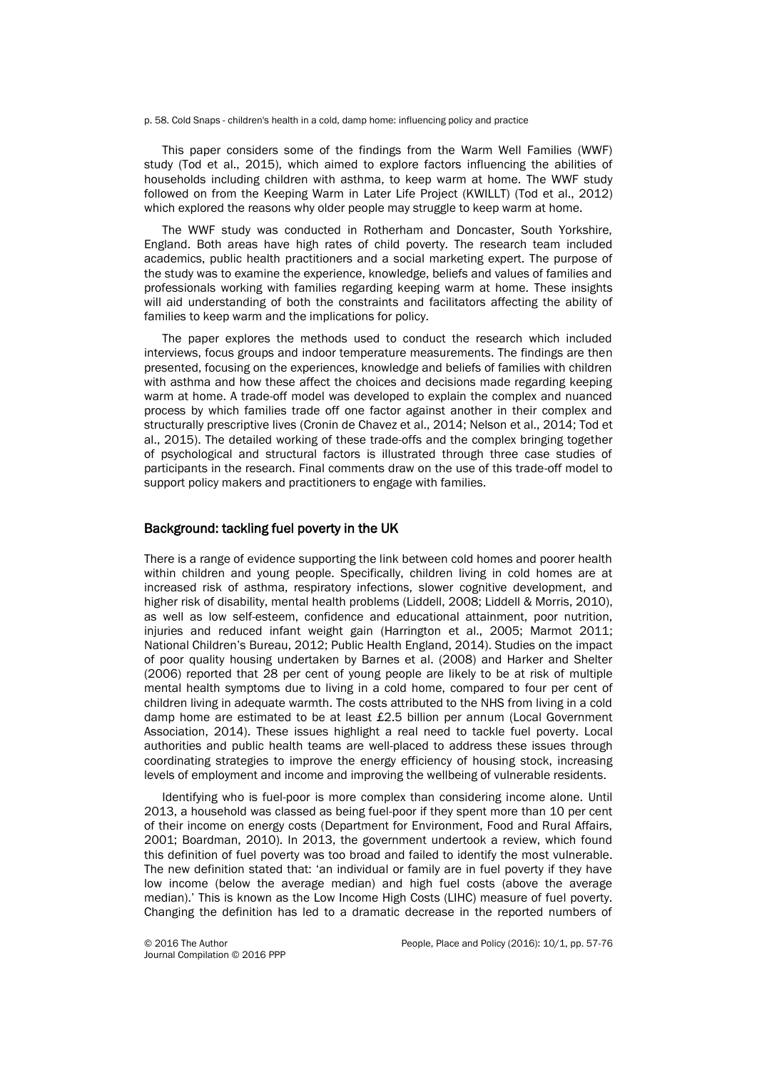p. 58. Cold Snaps - children's health in a cold, damp home: influencing policy and practice

This paper considers some of the findings from the Warm Well Families (WWF) study (Tod et al., 2015), which aimed to explore factors influencing the abilities of households including children with asthma, to keep warm at home. The WWF study followed on from the Keeping Warm in Later Life Project (KWILLT) (Tod et al., 2012) which explored the reasons why older people may struggle to keep warm at home.

The WWF study was conducted in Rotherham and Doncaster, South Yorkshire, England. Both areas have high rates of child poverty. The research team included academics, public health practitioners and a social marketing expert. The purpose of the study was to examine the experience, knowledge, beliefs and values of families and professionals working with families regarding keeping warm at home. These insights will aid understanding of both the constraints and facilitators affecting the ability of families to keep warm and the implications for policy.

The paper explores the methods used to conduct the research which included interviews, focus groups and indoor temperature measurements. The findings are then presented, focusing on the experiences, knowledge and beliefs of families with children with asthma and how these affect the choices and decisions made regarding keeping warm at home. A trade-off model was developed to explain the complex and nuanced process by which families trade off one factor against another in their complex and structurally prescriptive lives (Cronin de Chavez et al., 2014; Nelson et al., 2014; Tod et al., 2015). The detailed working of these trade-offs and the complex bringing together of psychological and structural factors is illustrated through three case studies of participants in the research. Final comments draw on the use of this trade-off model to support policy makers and practitioners to engage with families.

#### Background: tackling fuel poverty in the UK

There is a range of evidence supporting the link between cold homes and poorer health within children and young people. Specifically, children living in cold homes are at increased risk of asthma, respiratory infections, slower cognitive development, and higher risk of disability, mental health problems (Liddell, 2008; Liddell & Morris, 2010), as well as low self-esteem, confidence and educational attainment, poor nutrition, injuries and reduced infant weight gain (Harrington et al., 2005; Marmot 2011; National Children's Bureau, 2012; Public Health England, 2014). Studies on the impact of poor quality housing undertaken by Barnes et al. (2008) and Harker and Shelter (2006) reported that 28 per cent of young people are likely to be at risk of multiple mental health symptoms due to living in a cold home, compared to four per cent of children living in adequate warmth. The costs attributed to the NHS from living in a cold damp home are estimated to be at least £2.5 billion per annum (Local Government Association, 2014). These issues highlight a real need to tackle fuel poverty. Local authorities and public health teams are well-placed to address these issues through coordinating strategies to improve the energy efficiency of housing stock, increasing levels of employment and income and improving the wellbeing of vulnerable residents.

Identifying who is fuel-poor is more complex than considering income alone. Until 2013, a household was classed as being fuel-poor if they spent more than 10 per cent of their income on energy costs (Department for Environment, Food and Rural Affairs, 2001; Boardman, 2010). In 2013, the government undertook a review, which found this definition of fuel poverty was too broad and failed to identify the most vulnerable. The new definition stated that: 'an individual or family are in fuel poverty if they have low income (below the average median) and high fuel costs (above the average median).' This is known as the Low Income High Costs (LIHC) measure of fuel poverty. Changing the definition has led to a dramatic decrease in the reported numbers of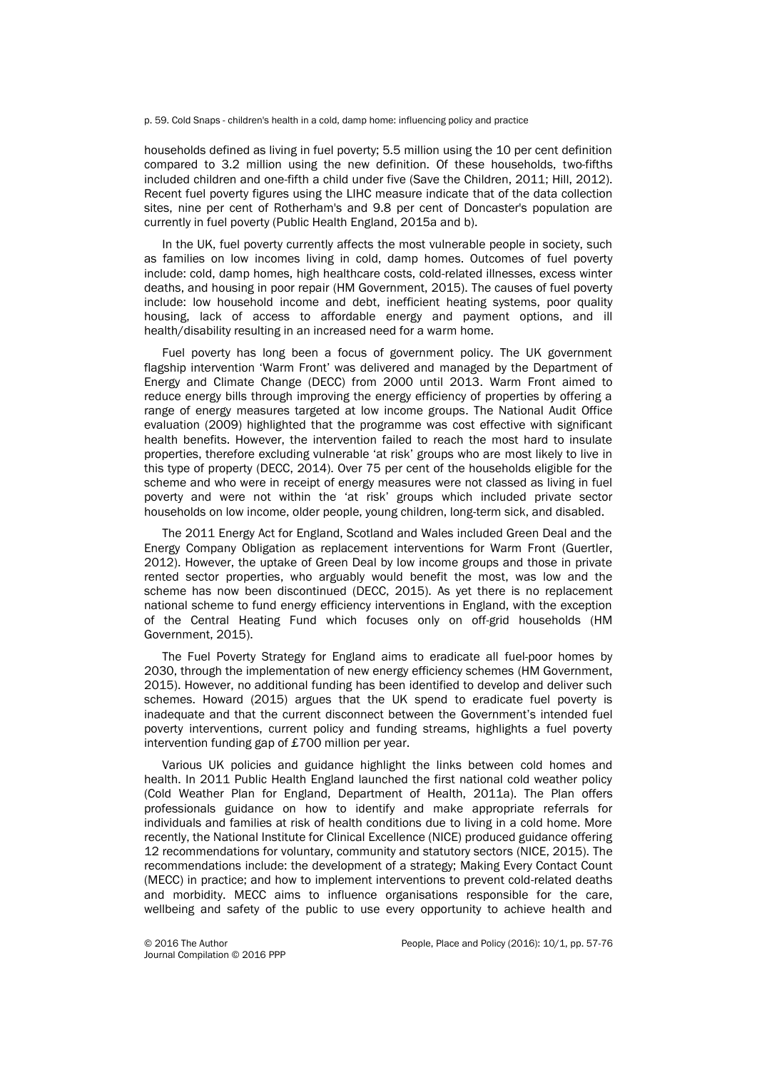p. 59. Cold Snaps - children's health in a cold, damp home: influencing policy and practice

households defined as living in fuel poverty; 5.5 million using the 10 per cent definition compared to 3.2 million using the new definition. Of these households, two-fifths included children and one-fifth a child under five (Save the Children, 2011; Hill, 2012). Recent fuel poverty figures using the LIHC measure indicate that of the data collection sites, nine per cent of Rotherham's and 9.8 per cent of Doncaster's population are currently in fuel poverty (Public Health England, 2015a and b).

In the UK, fuel poverty currently affects the most vulnerable people in society, such as families on low incomes living in cold, damp homes. Outcomes of fuel poverty include: cold, damp homes, high healthcare costs, cold-related illnesses, excess winter deaths, and housing in poor repair (HM Government, 2015). The causes of fuel poverty include: low household income and debt, inefficient heating systems, poor quality housing, lack of access to affordable energy and payment options, and ill health/disability resulting in an increased need for a warm home.

Fuel poverty has long been a focus of government policy. The UK government flagship intervention 'Warm Front' was delivered and managed by the Department of Energy and Climate Change (DECC) from 2000 until 2013. Warm Front aimed to reduce energy bills through improving the energy efficiency of properties by offering a range of energy measures targeted at low income groups. The National Audit Office evaluation (2009) highlighted that the programme was cost effective with significant health benefits. However, the intervention failed to reach the most hard to insulate properties, therefore excluding vulnerable 'at risk' groups who are most likely to live in this type of property (DECC, 2014). Over 75 per cent of the households eligible for the scheme and who were in receipt of energy measures were not classed as living in fuel poverty and were not within the 'at risk' groups which included private sector households on low income, older people, young children, long-term sick, and disabled.

The 2011 Energy Act for England, Scotland and Wales included Green Deal and the Energy Company Obligation as replacement interventions for Warm Front (Guertler, 2012). However, the uptake of Green Deal by low income groups and those in private rented sector properties, who arguably would benefit the most, was low and the scheme has now been discontinued (DECC, 2015). As yet there is no replacement national scheme to fund energy efficiency interventions in England, with the exception of the Central Heating Fund which focuses only on off-grid households (HM Government, 2015).

The Fuel Poverty Strategy for England aims to eradicate all fuel-poor homes by 2030, through the implementation of new energy efficiency schemes (HM Government, 2015). However, no additional funding has been identified to develop and deliver such schemes. Howard (2015) argues that the UK spend to eradicate fuel poverty is inadequate and that the current disconnect between the Government's intended fuel poverty interventions, current policy and funding streams, highlights a fuel poverty intervention funding gap of £700 million per year.

Various UK policies and guidance highlight the links between cold homes and health. In 2011 Public Health England launched the first national cold weather policy (Cold Weather Plan for England, Department of Health, 2011a). The Plan offers professionals guidance on how to identify and make appropriate referrals for individuals and families at risk of health conditions due to living in a cold home. More recently, the National Institute for Clinical Excellence (NICE) produced guidance offering 12 recommendations for voluntary, community and statutory sectors (NICE, 2015). The recommendations include: the development of a strategy; Making Every Contact Count (MECC) in practice; and how to implement interventions to prevent cold-related deaths and morbidity. MECC aims to influence organisations responsible for the care, wellbeing and safety of the public to use every opportunity to achieve health and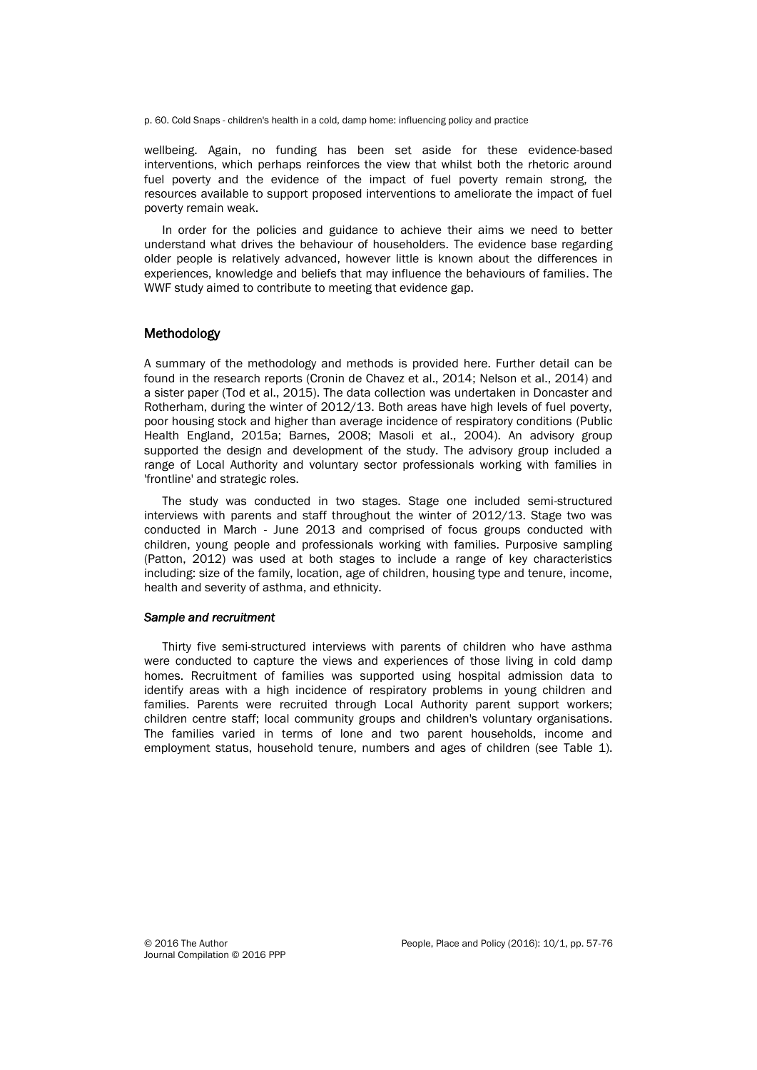p. 60. Cold Snaps - children's health in a cold, damp home: influencing policy and practice

wellbeing. Again, no funding has been set aside for these evidence-based interventions, which perhaps reinforces the view that whilst both the rhetoric around fuel poverty and the evidence of the impact of fuel poverty remain strong, the resources available to support proposed interventions to ameliorate the impact of fuel poverty remain weak.

In order for the policies and guidance to achieve their aims we need to better understand what drives the behaviour of householders. The evidence base regarding older people is relatively advanced, however little is known about the differences in experiences, knowledge and beliefs that may influence the behaviours of families. The WWF study aimed to contribute to meeting that evidence gap.

# Methodology

A summary of the methodology and methods is provided here. Further detail can be found in the research reports (Cronin de Chavez et al., 2014; Nelson et al., 2014) and a sister paper (Tod et al., 2015). The data collection was undertaken in Doncaster and Rotherham, during the winter of 2012/13. Both areas have high levels of fuel poverty, poor housing stock and higher than average incidence of respiratory conditions (Public Health England, 2015a; Barnes, 2008; Masoli et al., 2004). An advisory group supported the design and development of the study. The advisory group included a range of Local Authority and voluntary sector professionals working with families in 'frontline' and strategic roles.

The study was conducted in two stages. Stage one included semi-structured interviews with parents and staff throughout the winter of 2012/13. Stage two was conducted in March - June 2013 and comprised of focus groups conducted with children, young people and professionals working with families. Purposive sampling (Patton, 2012) was used at both stages to include a range of key characteristics including: size of the family, location, age of children, housing type and tenure, income, health and severity of asthma, and ethnicity.

# *Sample and recruitment*

Thirty five semi-structured interviews with parents of children who have asthma were conducted to capture the views and experiences of those living in cold damp homes. Recruitment of families was supported using hospital admission data to identify areas with a high incidence of respiratory problems in young children and families. Parents were recruited through Local Authority parent support workers; children centre staff; local community groups and children's voluntary organisations. The families varied in terms of lone and two parent households, income and employment status, household tenure, numbers and ages of children (see Table 1).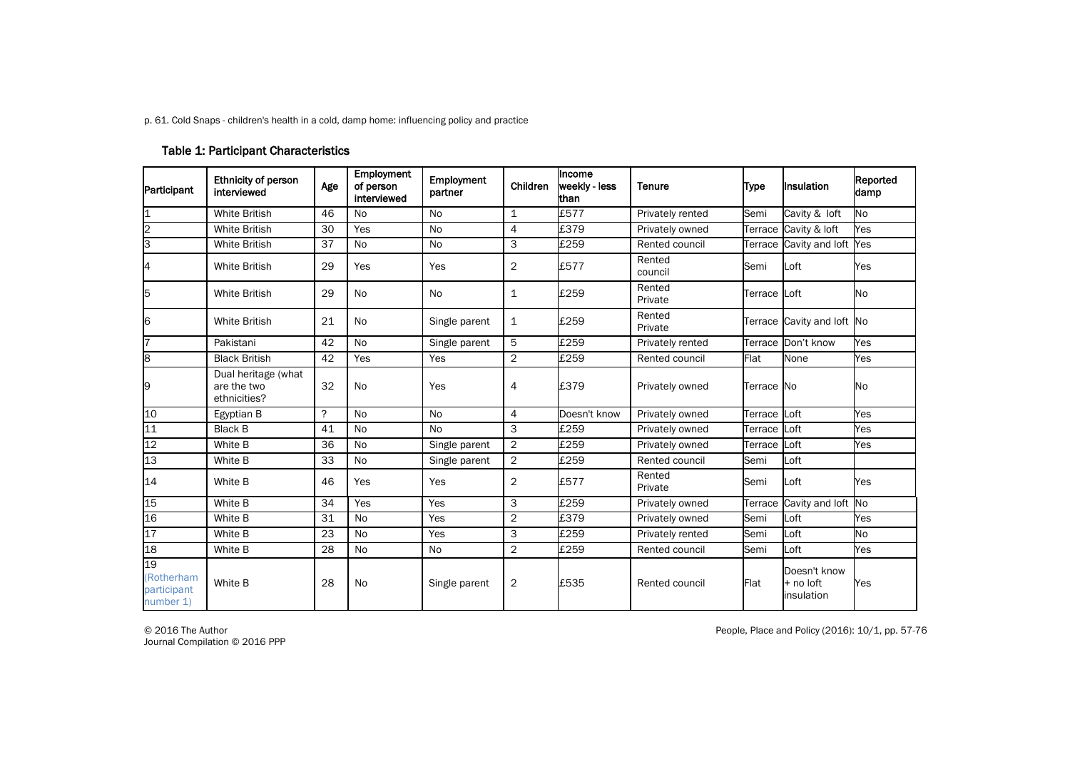p. 61. Cold Snaps - children's health in a cold, damp home: influencing policy and practice

# Table 1: Participant Characteristics

| Participant                                  | Ethnicity of person<br>interviewed                 | Age | Employment<br>of person<br>interviewed | Employment<br>partner | Children       | Income<br>weekly - less<br>than | <b>Tenure</b>     | <b>Type</b> | <b>Insulation</b>                       | Reported<br>damp |
|----------------------------------------------|----------------------------------------------------|-----|----------------------------------------|-----------------------|----------------|---------------------------------|-------------------|-------------|-----------------------------------------|------------------|
| $\overline{\mathbf{1}}$                      | <b>White British</b>                               | 46  | No                                     | <b>No</b>             | 1              | £577                            | Privately rented  | Semi        | Cavity & loft                           | <b>No</b>        |
| $\overline{2}$                               | <b>White British</b>                               | 30  | Yes                                    | <b>No</b>             | 4              | £379                            | Privately owned   | Terrace     | Cavity & loft                           | Yes              |
| З                                            | White British                                      | 37  | <b>No</b>                              | <b>No</b>             | 3              | £259                            | Rented council    | Terrace     | Cavity and loft                         | Yes              |
| 4                                            | <b>White British</b>                               | 29  | Yes                                    | Yes                   | $\overline{2}$ | £577                            | Rented<br>council | Semi        | Loft                                    | Yes              |
| 5                                            | <b>White British</b>                               | 29  | <b>No</b>                              | <b>No</b>             | 1              | £259                            | Rented<br>Private | Terrace     | Loft                                    | No               |
| 6                                            | <b>White British</b>                               | 21  | <b>No</b>                              | Single parent         | 1              | £259                            | Rented<br>Private |             | Terrace Cavity and loft No              |                  |
|                                              | Pakistani                                          | 42  | <b>No</b>                              | Single parent         | 5              | £259                            | Privately rented  |             | Terrace Don't know                      | Yes              |
| 8                                            | <b>Black British</b>                               | 42  | Yes                                    | Yes                   | 2              | £259                            | Rented council    | Flat        | None                                    | Yes              |
| 9                                            | Dual heritage (what<br>are the two<br>ethnicities? | 32  | <b>No</b>                              | Yes                   | 4              | £379                            | Privately owned   | Terrace No  |                                         | No               |
| 10                                           | Egyptian B                                         | ?   | No                                     | <b>No</b>             | 4              | Doesn't know                    | Privately owned   | Terrace     | Loft                                    | Yes              |
| 11                                           | <b>Black B</b>                                     | 41  | No                                     | <b>No</b>             | 3              | £259                            | Privately owned   | Terrace     | Loft                                    | Yes              |
| 12                                           | White B                                            | 36  | <b>No</b>                              | Single parent         | $\overline{c}$ | £259                            | Privately owned   | Terrace     | Loft                                    | Yes              |
| 13                                           | White B                                            | 33  | <b>No</b>                              | Single parent         | $\overline{2}$ | £259                            | Rented council    | Semi        | Loft                                    |                  |
| 14                                           | White B                                            | 46  | Yes                                    | Yes                   | $\overline{2}$ | £577                            | Rented<br>Private | Semi        | Loft                                    | Yes              |
| 15                                           | White B                                            | 34  | Yes                                    | Yes                   | 3              | £259                            | Privately owned   | Terrace     | Cavity and loft                         | <b>No</b>        |
| 16                                           | White B                                            | 31  | <b>No</b>                              | Yes                   | 2              | £379                            | Privately owned   | Semi        | Loft                                    | Yes              |
| 17                                           | White B                                            | 23  | <b>No</b>                              | Yes                   | 3              | £259                            | Privately rented  | Semi        | Loft                                    | No               |
| 18                                           | White B                                            | 28  | <b>No</b>                              | <b>No</b>             | $\overline{2}$ | £259                            | Rented council    | Semi        | Loft                                    | Yes              |
| 19<br>(Rotherham<br>participant<br>number 1) | White B                                            | 28  | <b>No</b>                              | Single parent         | 2              | £535                            | Rented council    | Flat        | Doesn't know<br>+ no loft<br>insulation | Yes              |

Journal Compilation © 2016 PPP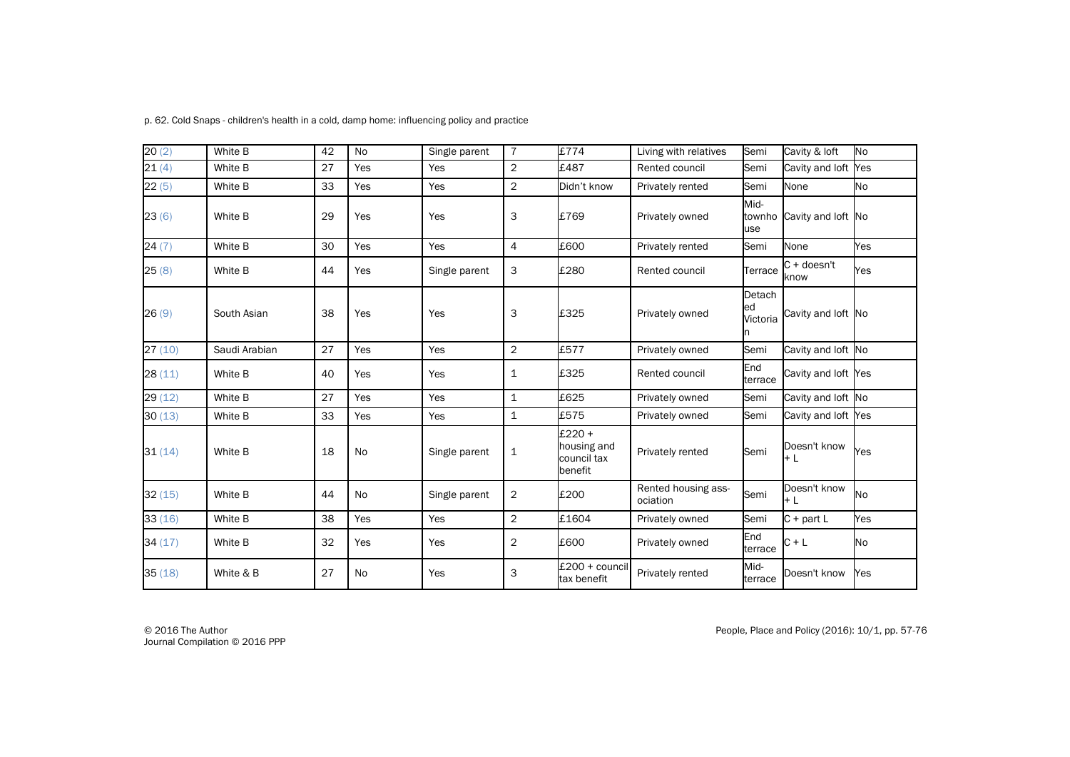| p. 62. Cold Snaps - children's health in a cold, damp home: influencing policy and practice |
|---------------------------------------------------------------------------------------------|
|---------------------------------------------------------------------------------------------|

| 20(2)   | White B       | 42 | <b>No</b> | Single parent | $\overline{7}$ | £774                                            | Living with relatives           | Semi                     | Cavity & loft         | <b>No</b> |
|---------|---------------|----|-----------|---------------|----------------|-------------------------------------------------|---------------------------------|--------------------------|-----------------------|-----------|
| 21(4)   | White B       | 27 | Yes       | Yes           | $\overline{2}$ | £487                                            | Rented council                  | Semi                     | Cavity and loft Yes   |           |
| 22(5)   | White B       | 33 | Yes       | Yes           | $\overline{c}$ | Didn't know                                     | Privately rented                | Semi                     | None                  | No        |
| 23(6)   | White B       | 29 | Yes       | Yes           | 3              | £769                                            | Privately owned                 | Mid-<br>townho<br>use    | Cavity and loft No    |           |
| 24(7)   | White B       | 30 | Yes       | Yes           | 4              | £600                                            | Privately rented                | Semi                     | None                  | Yes       |
| 25(8)   | White B       | 44 | Yes       | Single parent | 3              | £280                                            | Rented council                  | Terrace                  | $C + doesn't$<br>know | Yes       |
| 26(9)   | South Asian   | 38 | Yes       | Yes           | 3              | £325                                            | Privately owned                 | Detach<br>ed<br>Victoria | Cavity and loft No    |           |
| 27(10)  | Saudi Arabian | 27 | Yes       | Yes           | $\overline{2}$ | £577                                            | Privately owned                 | Semi                     | Cavity and loft No    |           |
| 28 (11) | White B       | 40 | Yes       | Yes           | $\mathbf{1}$   | £325                                            | Rented council                  | End<br>terrace           | Cavity and loft Yes   |           |
| 29(12)  | White B       | 27 | Yes       | Yes           | $\mathbf{1}$   | £625                                            | Privately owned                 | Semi                     | Cavity and loft No    |           |
| 30(13)  | White B       | 33 | Yes       | Yes           | $\mathbf{1}$   | £575                                            | Privately owned                 | Semi                     | Cavity and loft       | Yes       |
| 31(14)  | White B       | 18 | <b>No</b> | Single parent | $\mathbf{1}$   | £220 +<br>housing and<br>council tax<br>benefit | Privately rented                | Semi                     | Doesn't know<br>$+L$  | Yes       |
| 32(15)  | White B       | 44 | <b>No</b> | Single parent | $\overline{2}$ | £200                                            | Rented housing ass-<br>ociation | Semi                     | Doesn't know<br>$+L$  | <b>No</b> |
| 33(16)  | White B       | 38 | Yes       | Yes           | $\overline{c}$ | £1604                                           | Privately owned                 | Semi                     | $C +$ part L          | Yes       |
| 34(17)  | White B       | 32 | Yes       | Yes           | $\overline{2}$ | £600                                            | Privately owned                 | End<br>terrace           | $C + L$               | <b>No</b> |
| 35(18)  | White & B     | 27 | No        | Yes           | 3              | £200 + council<br>tax benefit                   | Privately rented                | Mid-<br>terrace          | Doesn't know          | Yes       |

Journal Compilation © 2016 PPP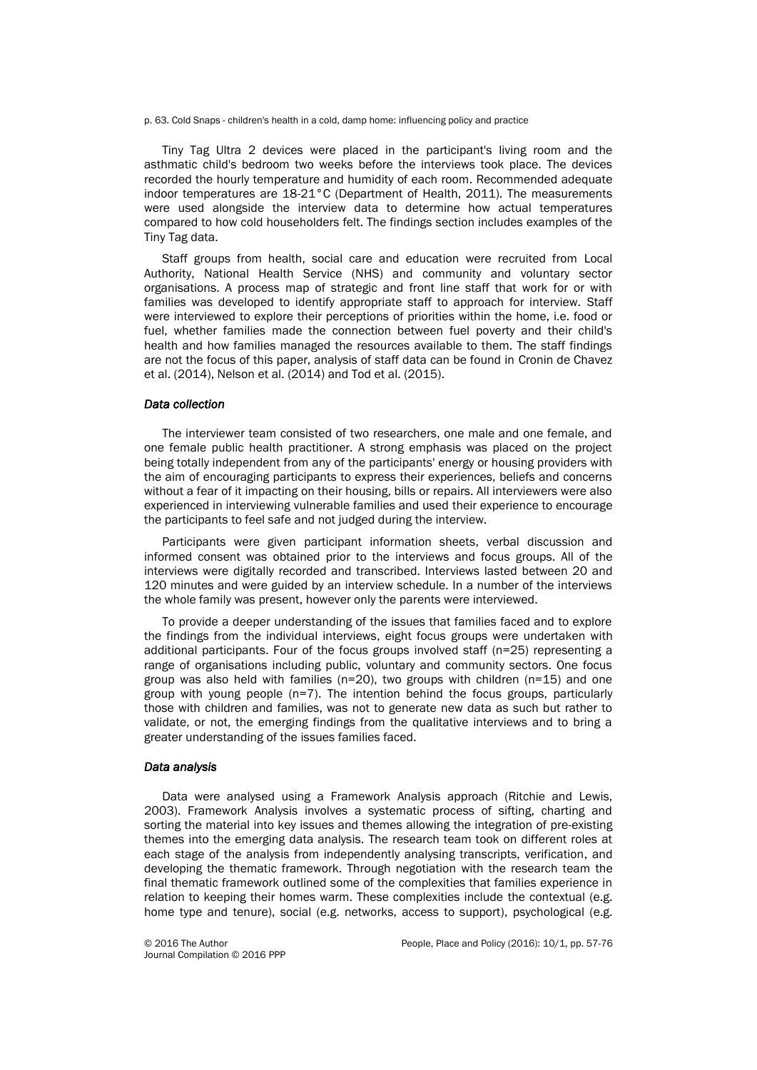p. 63. Cold Snaps - children's health in a cold, damp home: influencing policy and practice

Tiny Tag Ultra 2 devices were placed in the participant's living room and the asthmatic child's bedroom two weeks before the interviews took place. The devices recorded the hourly temperature and humidity of each room. Recommended adequate indoor temperatures are 18-21°C (Department of Health, 2011). The measurements were used alongside the interview data to determine how actual temperatures compared to how cold householders felt. The findings section includes examples of the Tiny Tag data.

Staff groups from health, social care and education were recruited from Local Authority, National Health Service (NHS) and community and voluntary sector organisations. A process map of strategic and front line staff that work for or with families was developed to identify appropriate staff to approach for interview. Staff were interviewed to explore their perceptions of priorities within the home, i.e. food or fuel, whether families made the connection between fuel poverty and their child's health and how families managed the resources available to them. The staff findings are not the focus of this paper, analysis of staff data can be found in Cronin de Chavez et al. (2014), Nelson et al. (2014) and Tod et al. (2015).

#### *Data collection*

The interviewer team consisted of two researchers, one male and one female, and one female public health practitioner. A strong emphasis was placed on the project being totally independent from any of the participants' energy or housing providers with the aim of encouraging participants to express their experiences, beliefs and concerns without a fear of it impacting on their housing, bills or repairs. All interviewers were also experienced in interviewing vulnerable families and used their experience to encourage the participants to feel safe and not judged during the interview.

Participants were given participant information sheets, verbal discussion and informed consent was obtained prior to the interviews and focus groups. All of the interviews were digitally recorded and transcribed. Interviews lasted between 20 and 120 minutes and were guided by an interview schedule. In a number of the interviews the whole family was present, however only the parents were interviewed.

To provide a deeper understanding of the issues that families faced and to explore the findings from the individual interviews, eight focus groups were undertaken with additional participants. Four of the focus groups involved staff (n=25) representing a range of organisations including public, voluntary and community sectors. One focus group was also held with families ( $n=20$ ), two groups with children ( $n=15$ ) and one group with young people (n=7). The intention behind the focus groups, particularly those with children and families, was not to generate new data as such but rather to validate, or not, the emerging findings from the qualitative interviews and to bring a greater understanding of the issues families faced.

#### *Data analysis*

Data were analysed using a Framework Analysis approach (Ritchie and Lewis, 2003). Framework Analysis involves a systematic process of sifting, charting and sorting the material into key issues and themes allowing the integration of pre-existing themes into the emerging data analysis. The research team took on different roles at each stage of the analysis from independently analysing transcripts, verification, and developing the thematic framework. Through negotiation with the research team the final thematic framework outlined some of the complexities that families experience in relation to keeping their homes warm. These complexities include the contextual (e.g. home type and tenure), social (e.g. networks, access to support), psychological (e.g.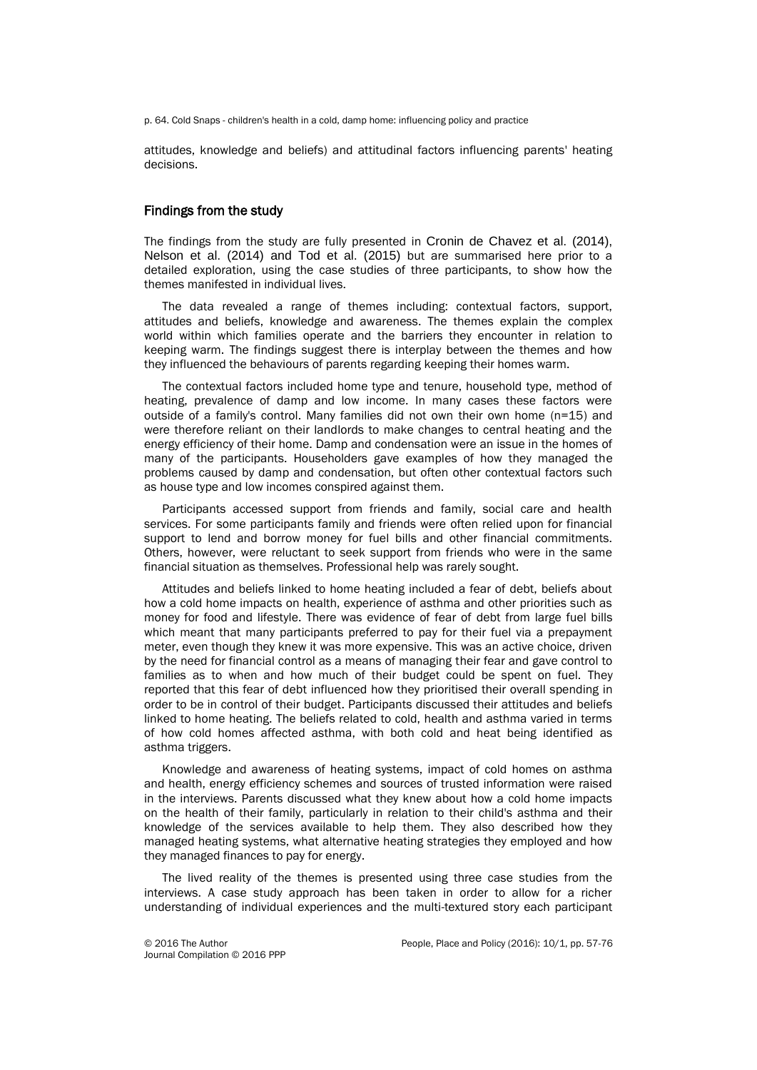p. 64. Cold Snaps - children's health in a cold, damp home: influencing policy and practice

attitudes, knowledge and beliefs) and attitudinal factors influencing parents' heating decisions.

#### Findings from the study

The findings from the study are fully presented in Cronin de Chavez et al. (2014), Nelson et al. (2014) and Tod et al. (2015) but are summarised here prior to a detailed exploration, using the case studies of three participants, to show how the themes manifested in individual lives.

The data revealed a range of themes including: contextual factors, support, attitudes and beliefs, knowledge and awareness. The themes explain the complex world within which families operate and the barriers they encounter in relation to keeping warm. The findings suggest there is interplay between the themes and how they influenced the behaviours of parents regarding keeping their homes warm.

The contextual factors included home type and tenure, household type, method of heating, prevalence of damp and low income. In many cases these factors were outside of a family's control. Many families did not own their own home (n=15) and were therefore reliant on their landlords to make changes to central heating and the energy efficiency of their home. Damp and condensation were an issue in the homes of many of the participants. Householders gave examples of how they managed the problems caused by damp and condensation, but often other contextual factors such as house type and low incomes conspired against them.

Participants accessed support from friends and family, social care and health services. For some participants family and friends were often relied upon for financial support to lend and borrow money for fuel bills and other financial commitments. Others, however, were reluctant to seek support from friends who were in the same financial situation as themselves. Professional help was rarely sought.

Attitudes and beliefs linked to home heating included a fear of debt, beliefs about how a cold home impacts on health, experience of asthma and other priorities such as money for food and lifestyle. There was evidence of fear of debt from large fuel bills which meant that many participants preferred to pay for their fuel via a prepayment meter, even though they knew it was more expensive. This was an active choice, driven by the need for financial control as a means of managing their fear and gave control to families as to when and how much of their budget could be spent on fuel. They reported that this fear of debt influenced how they prioritised their overall spending in order to be in control of their budget. Participants discussed their attitudes and beliefs linked to home heating. The beliefs related to cold, health and asthma varied in terms of how cold homes affected asthma, with both cold and heat being identified as asthma triggers.

Knowledge and awareness of heating systems, impact of cold homes on asthma and health, energy efficiency schemes and sources of trusted information were raised in the interviews. Parents discussed what they knew about how a cold home impacts on the health of their family, particularly in relation to their child's asthma and their knowledge of the services available to help them. They also described how they managed heating systems, what alternative heating strategies they employed and how they managed finances to pay for energy.

The lived reality of the themes is presented using three case studies from the interviews. A case study approach has been taken in order to allow for a richer understanding of individual experiences and the multi-textured story each participant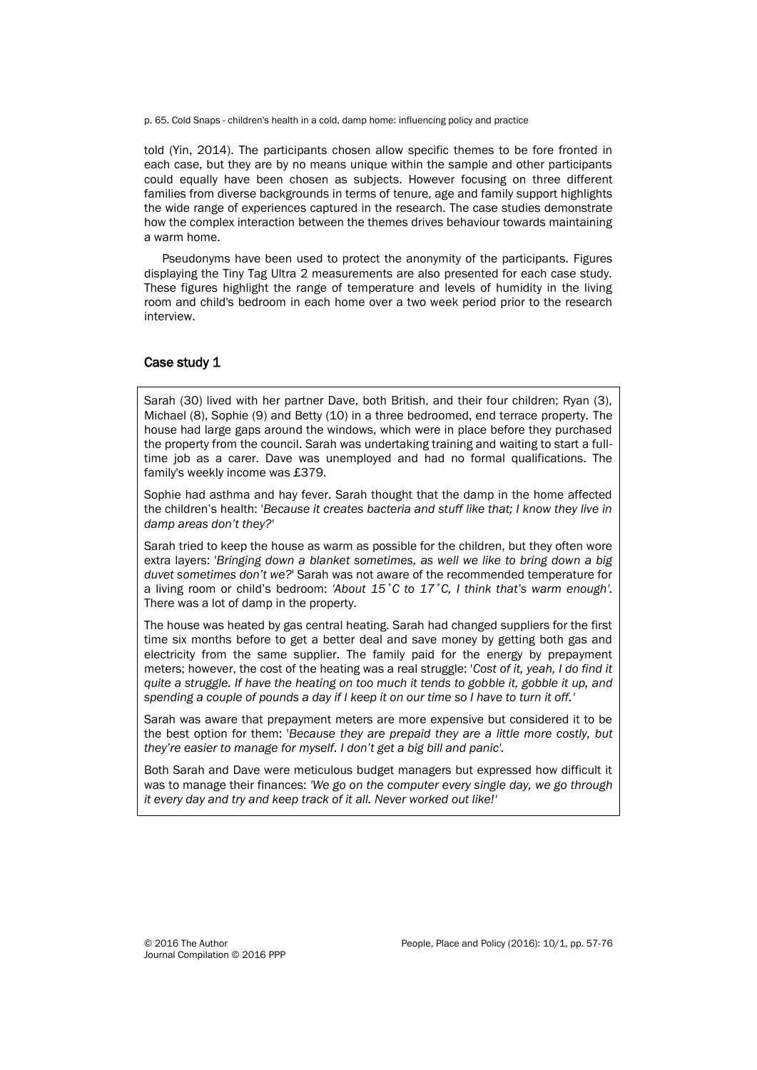p. 65. Cold Snaps - children's health in a cold, damp home: influencing policy and practice

told (Yin, 2014). The participants chosen allow specific themes to be fore fronted in each case, but they are by no means unique within the sample and other participants could equally have been chosen as subjects. However focusing on three different families from diverse backgrounds in terms of tenure, age and family support highlights the wide range of experiences captured in the research. The case studies demonstrate how the complex interaction between the themes drives behaviour towards maintaining a warm home.

Pseudonyms have been used to protect the anonymity of the participants. Figures displaying the Tiny Tag Ultra 2 measurements are also presented for each case study. These figures highlight the range of temperature and levels of humidity in the living room and child's bedroom in each home over a two week period prior to the research interview.

#### Case study 1

Sarah (30) lived with her partner Dave, both British, and their four children; Ryan (3), Michael (8), Sophie (9) and Betty (10) in a three bedroomed, end terrace property. The house had large gaps around the windows, which were in place before they purchased the property from the council. Sarah was undertaking training and waiting to start a fulltime job as a carer. Dave was unemployed and had no formal qualifications. The family's weekly income was £379.

Sophie had asthma and hay fever. Sarah thought that the damp in the home affected the children's health: '*Because it creates bacteria and stuff like that; I know they live in damp areas don't they?'*

Sarah tried to keep the house as warm as possible for the children, but they often wore extra layers: '*Bringing down a blanket sometimes, as well we like to bring down a big duvet sometimes don't we?*' Sarah was not aware of the recommended temperature for a living room or child's bedroom: *'About 15˚C to 17˚C, I think that's warm enough'.* There was a lot of damp in the property.

The house was heated by gas central heating. Sarah had changed suppliers for the first time six months before to get a better deal and save money by getting both gas and electricity from the same supplier. The family paid for the energy by prepayment meters; however, the cost of the heating was a real struggle: '*Cost of it, yeah, I do find it quite a struggle. If have the heating on too much it tends to gobble it, gobble it up, and spending a couple of pounds a day if I keep it on our time so I have to turn it off.'*

Sarah was aware that prepayment meters are more expensive but considered it to be the best option for them: '*Because they are prepaid they are a little more costly, but they're easier to manage for myself. I don't get a big bill and panic'.*

Both Sarah and Dave were meticulous budget managers but expressed how difficult it was to manage their finances: *'We go on the computer every single day, we go through it every day and try and keep track of it all. Never worked out like!'*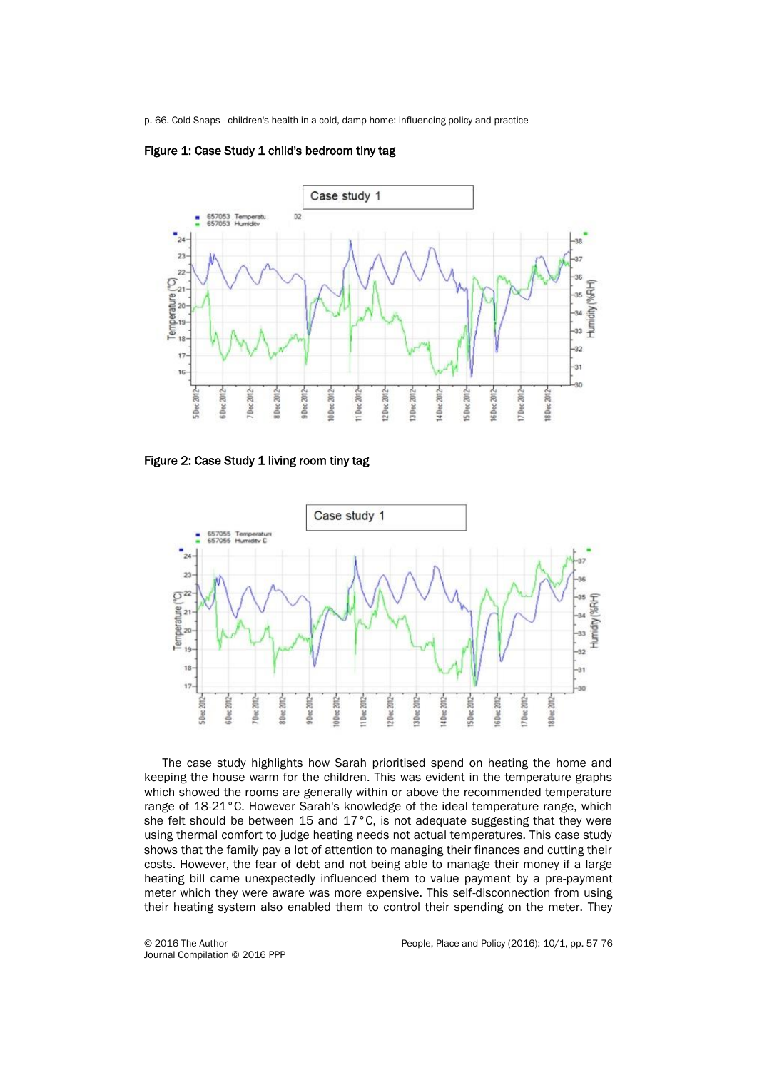p. 66. Cold Snaps - children's health in a cold, damp home: influencing policy and practice



#### Figure 1: Case Study 1 child's bedroom tiny tag

Figure 2: Case Study 1 living room tiny tag



The case study highlights how Sarah prioritised spend on heating the home and keeping the house warm for the children. This was evident in the temperature graphs which showed the rooms are generally within or above the recommended temperature range of 18-21°C. However Sarah's knowledge of the ideal temperature range, which she felt should be between 15 and 17°C, is not adequate suggesting that they were using thermal comfort to judge heating needs not actual temperatures. This case study shows that the family pay a lot of attention to managing their finances and cutting their costs. However, the fear of debt and not being able to manage their money if a large heating bill came unexpectedly influenced them to value payment by a pre-payment meter which they were aware was more expensive. This self-disconnection from using their heating system also enabled them to control their spending on the meter. They

Journal Compilation © 2016 PPP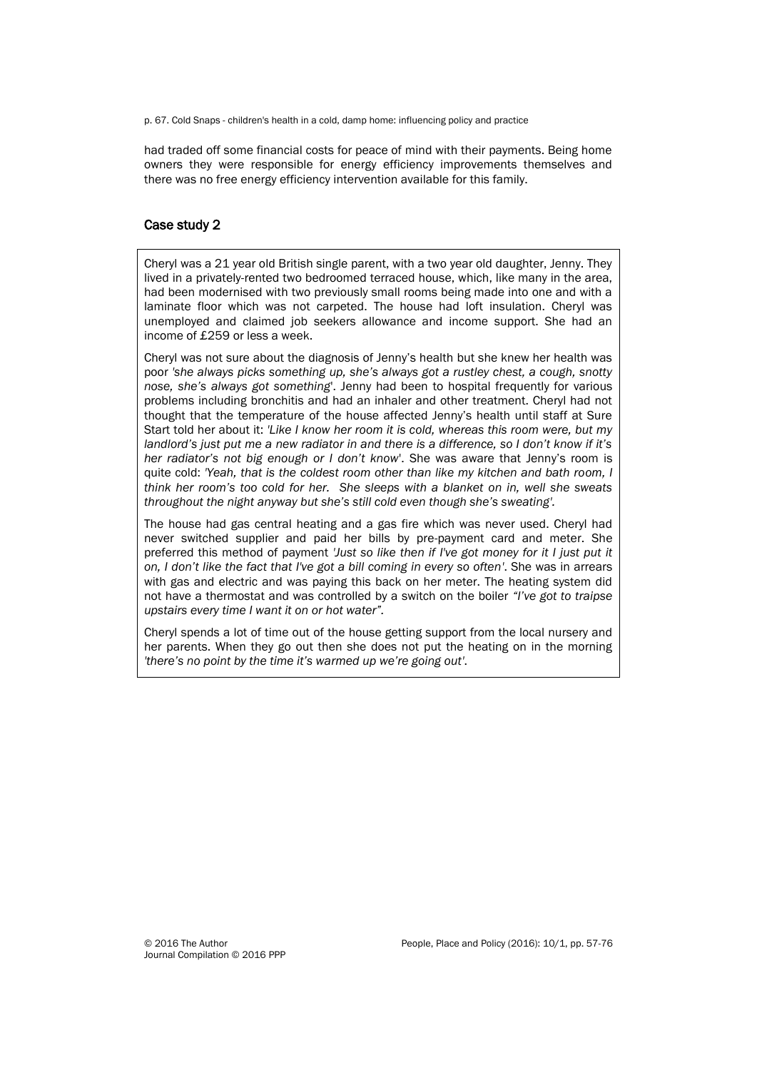p. 67. Cold Snaps - children's health in a cold, damp home: influencing policy and practice

had traded off some financial costs for peace of mind with their payments. Being home owners they were responsible for energy efficiency improvements themselves and there was no free energy efficiency intervention available for this family.

## Case study 2

Cheryl was a 21 year old British single parent, with a two year old daughter, Jenny. They lived in a privately-rented two bedroomed terraced house, which, like many in the area, had been modernised with two previously small rooms being made into one and with a laminate floor which was not carpeted. The house had loft insulation. Cheryl was unemployed and claimed job seekers allowance and income support. She had an income of £259 or less a week.

Cheryl was not sure about the diagnosis of Jenny's health but she knew her health was poor *'she always picks something up, she's always got a rustley chest, a cough, snotty nose, she's always got something*'. Jenny had been to hospital frequently for various problems including bronchitis and had an inhaler and other treatment. Cheryl had not thought that the temperature of the house affected Jenny's health until staff at Sure Start told her about it: *'Like I know her room it is cold, whereas this room were, but my landlord's just put me a new radiator in and there is a difference, so I don't know if it's her radiator's not big enough or I don't know*'. She was aware that Jenny's room is quite cold: *'Yeah, that is the coldest room other than like my kitchen and bath room, I think her room's too cold for her. She sleeps with a blanket on in, well she sweats throughout the night anyway but she's still cold even though she's sweating'.*

The house had gas central heating and a gas fire which was never used. Cheryl had never switched supplier and paid her bills by pre-payment card and meter. She preferred this method of payment *'Just so like then if I've got money for it I just put it on, I don't like the fact that I've got a bill coming in every so often'*. She was in arrears with gas and electric and was paying this back on her meter. The heating system did not have a thermostat and was controlled by a switch on the boiler *"I've got to traipse upstairs every time I want it on or hot water".*

Cheryl spends a lot of time out of the house getting support from the local nursery and her parents. When they go out then she does not put the heating on in the morning *'there's no point by the time it's warmed up we're going out'*.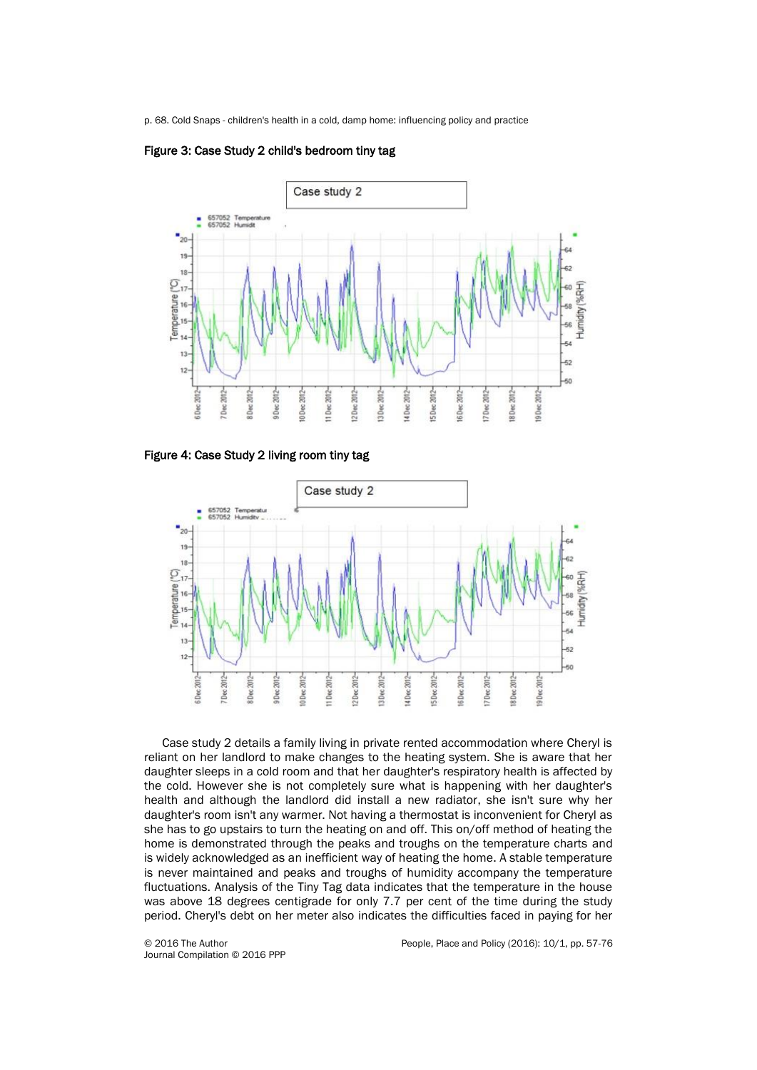p. 68. Cold Snaps - children's health in a cold, damp home: influencing policy and practice



#### Figure 3: Case Study 2 child's bedroom tiny tag

Figure 4: Case Study 2 living room tiny tag



Case study 2 details a family living in private rented accommodation where Cheryl is reliant on her landlord to make changes to the heating system. She is aware that her daughter sleeps in a cold room and that her daughter's respiratory health is affected by the cold. However she is not completely sure what is happening with her daughter's health and although the landlord did install a new radiator, she isn't sure why her daughter's room isn't any warmer. Not having a thermostat is inconvenient for Cheryl as she has to go upstairs to turn the heating on and off. This on/off method of heating the home is demonstrated through the peaks and troughs on the temperature charts and is widely acknowledged as an inefficient way of heating the home. A stable temperature is never maintained and peaks and troughs of humidity accompany the temperature fluctuations. Analysis of the Tiny Tag data indicates that the temperature in the house was above 18 degrees centigrade for only 7.7 per cent of the time during the study period. Cheryl's debt on her meter also indicates the difficulties faced in paying for her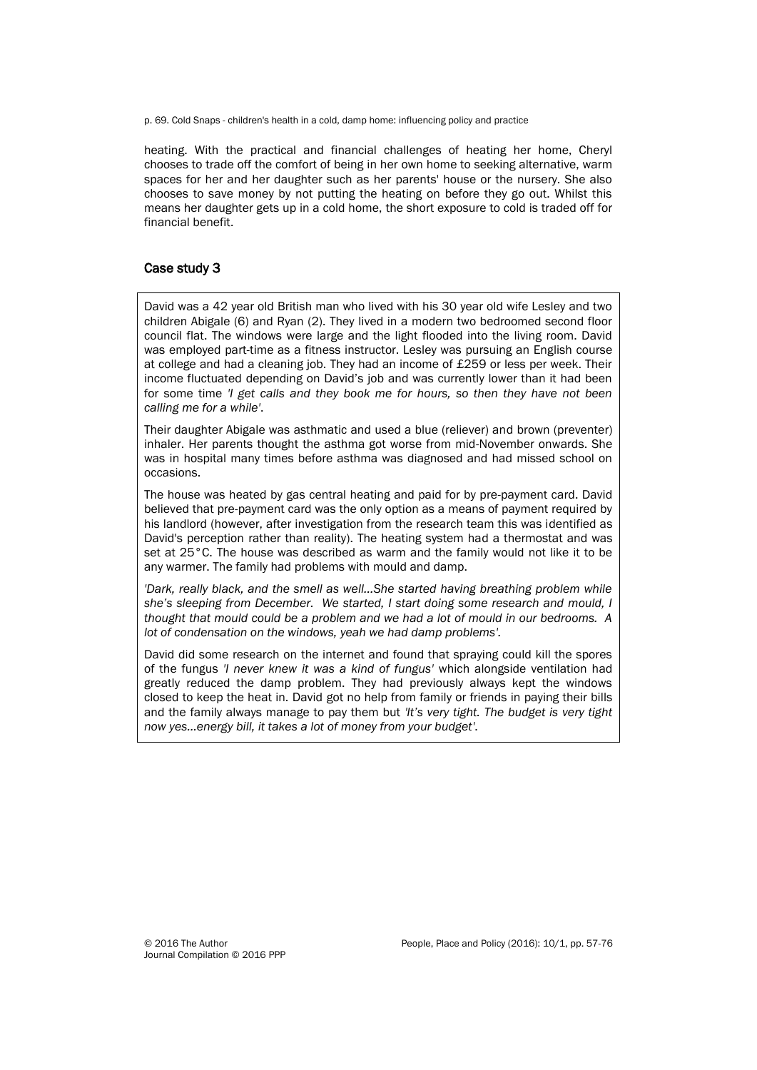p. 69. Cold Snaps - children's health in a cold, damp home: influencing policy and practice

heating. With the practical and financial challenges of heating her home, Cheryl chooses to trade off the comfort of being in her own home to seeking alternative, warm spaces for her and her daughter such as her parents' house or the nursery. She also chooses to save money by not putting the heating on before they go out. Whilst this means her daughter gets up in a cold home, the short exposure to cold is traded off for financial benefit.

# Case study 3

David was a 42 year old British man who lived with his 30 year old wife Lesley and two children Abigale (6) and Ryan (2). They lived in a modern two bedroomed second floor council flat. The windows were large and the light flooded into the living room. David was employed part-time as a fitness instructor. Lesley was pursuing an English course at college and had a cleaning job. They had an income of £259 or less per week. Their income fluctuated depending on David's job and was currently lower than it had been for some time *'I get calls and they book me for hours, so then they have not been calling me for a while'*.

Their daughter Abigale was asthmatic and used a blue (reliever) and brown (preventer) inhaler. Her parents thought the asthma got worse from mid-November onwards. She was in hospital many times before asthma was diagnosed and had missed school on occasions.

The house was heated by gas central heating and paid for by pre-payment card. David believed that pre-payment card was the only option as a means of payment required by his landlord (however, after investigation from the research team this was identified as David's perception rather than reality). The heating system had a thermostat and was set at 25°C. The house was described as warm and the family would not like it to be any warmer. The family had problems with mould and damp.

'Dark, really black, and the smell as well...She started having breathing problem while *she's sleeping from December. We started, I start doing some research and mould, I thought that mould could be a problem and we had a lot of mould in our bedrooms. A lot of condensation on the windows, yeah we had damp problems'.* 

David did some research on the internet and found that spraying could kill the spores of the fungus *'I never knew it was a kind of fungus'* which alongside ventilation had greatly reduced the damp problem. They had previously always kept the windows closed to keep the heat in. David got no help from family or friends in paying their bills and the family always manage to pay them but *'It's very tight. The budget is very tight now yes…energy bill, it takes a lot of money from your budget'*.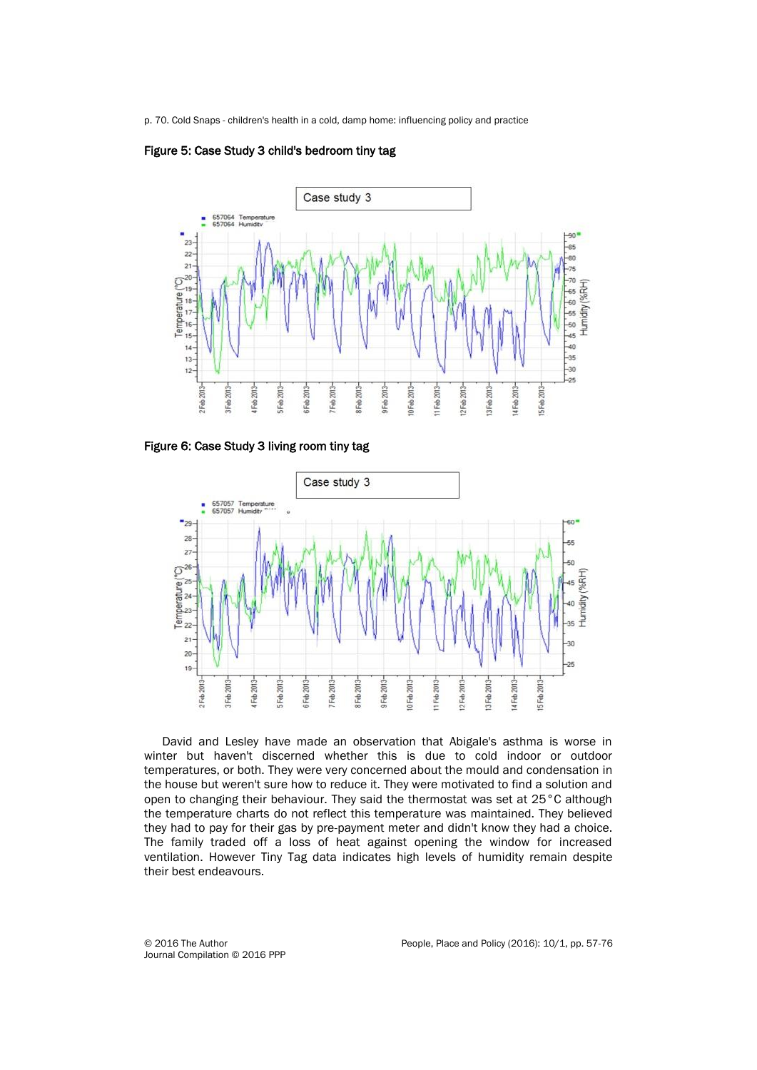p. 70. Cold Snaps - children's health in a cold, damp home: influencing policy and practice





Figure 6: Case Study 3 living room tiny tag

![](_page_13_Figure_4.jpeg)

David and Lesley have made an observation that Abigale's asthma is worse in winter but haven't discerned whether this is due to cold indoor or outdoor temperatures, or both. They were very concerned about the mould and condensation in the house but weren't sure how to reduce it. They were motivated to find a solution and open to changing their behaviour. They said the thermostat was set at 25°C although the temperature charts do not reflect this temperature was maintained. They believed they had to pay for their gas by pre-payment meter and didn't know they had a choice. The family traded off a loss of heat against opening the window for increased ventilation. However Tiny Tag data indicates high levels of humidity remain despite their best endeavours.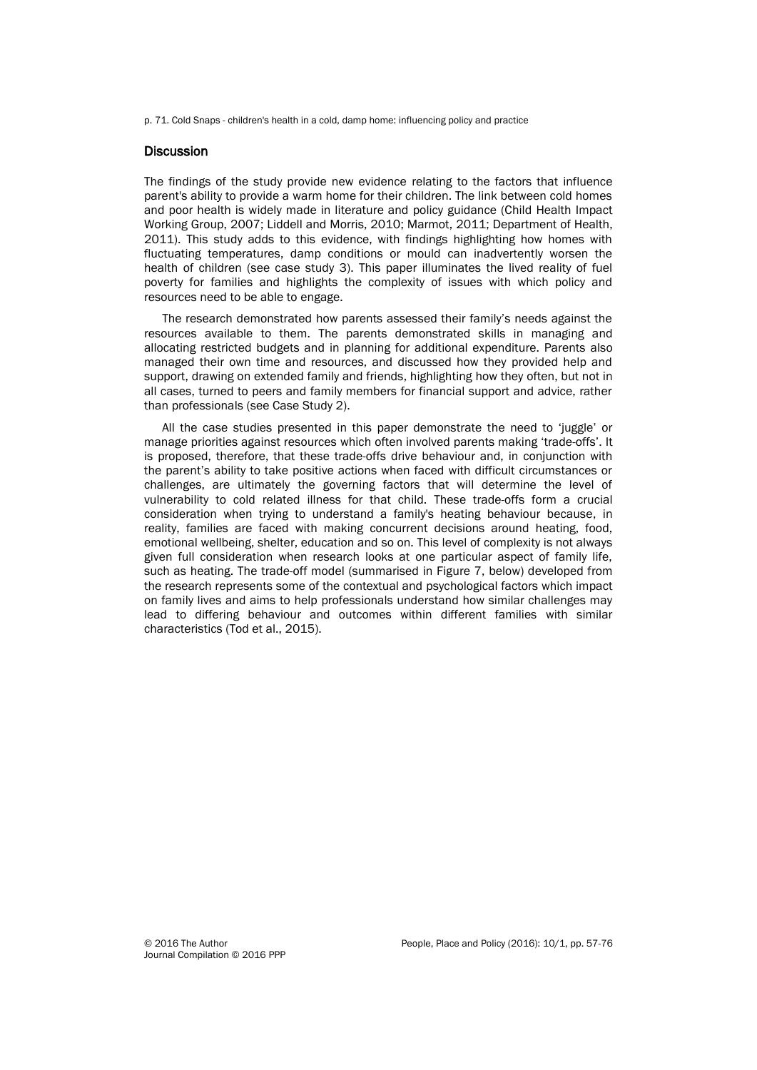p. 71. Cold Snaps - children's health in a cold, damp home: influencing policy and practice

#### **Discussion**

The findings of the study provide new evidence relating to the factors that influence parent's ability to provide a warm home for their children. The link between cold homes and poor health is widely made in literature and policy guidance (Child Health Impact Working Group, 2007; Liddell and Morris, 2010; Marmot, 2011; Department of Health, 2011). This study adds to this evidence, with findings highlighting how homes with fluctuating temperatures, damp conditions or mould can inadvertently worsen the health of children (see case study 3). This paper illuminates the lived reality of fuel poverty for families and highlights the complexity of issues with which policy and resources need to be able to engage.

The research demonstrated how parents assessed their family's needs against the resources available to them. The parents demonstrated skills in managing and allocating restricted budgets and in planning for additional expenditure. Parents also managed their own time and resources, and discussed how they provided help and support, drawing on extended family and friends, highlighting how they often, but not in all cases, turned to peers and family members for financial support and advice, rather than professionals (see Case Study 2).

All the case studies presented in this paper demonstrate the need to 'juggle' or manage priorities against resources which often involved parents making 'trade-offs'. It is proposed, therefore, that these trade-offs drive behaviour and, in conjunction with the parent's ability to take positive actions when faced with difficult circumstances or challenges, are ultimately the governing factors that will determine the level of vulnerability to cold related illness for that child. These trade-offs form a crucial consideration when trying to understand a family's heating behaviour because, in reality, families are faced with making concurrent decisions around heating, food, emotional wellbeing, shelter, education and so on. This level of complexity is not always given full consideration when research looks at one particular aspect of family life, such as heating. The trade-off model (summarised in Figure 7, below) developed from the research represents some of the contextual and psychological factors which impact on family lives and aims to help professionals understand how similar challenges may lead to differing behaviour and outcomes within different families with similar characteristics (Tod et al., 2015).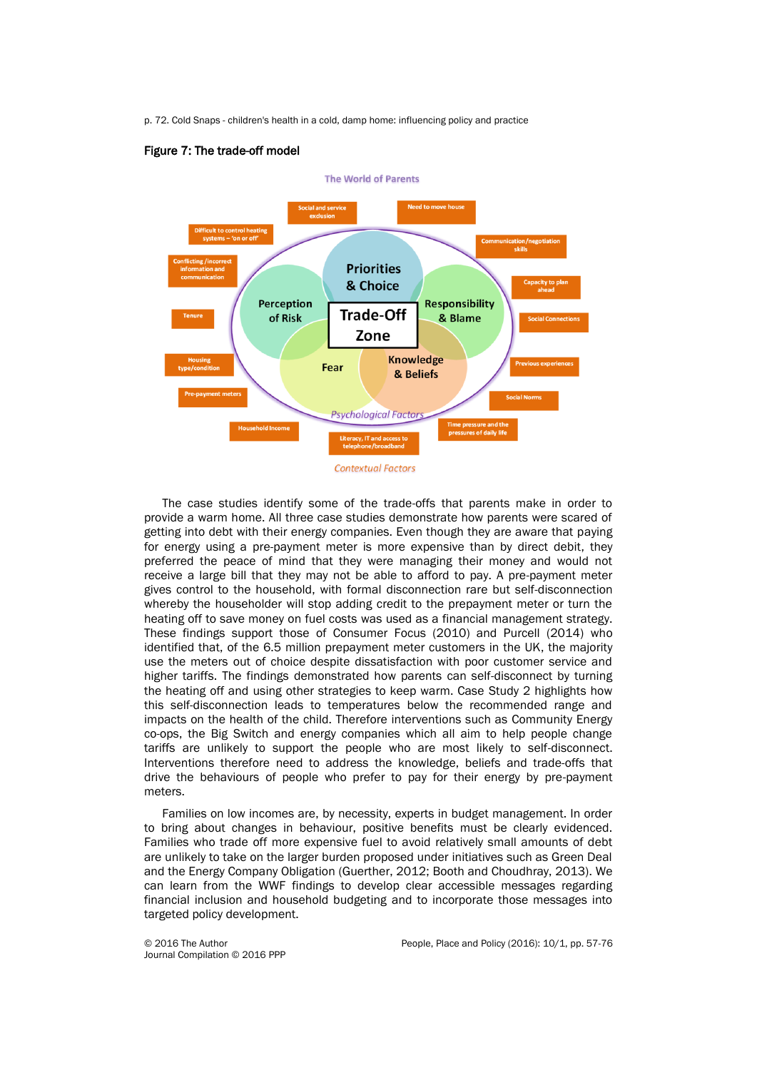p. 72. Cold Snaps - children's health in a cold, damp home: influencing policy and practice

#### Figure 7: The trade-off model

![](_page_15_Figure_2.jpeg)

The case studies identify some of the trade-offs that parents make in order to provide a warm home. All three case studies demonstrate how parents were scared of getting into debt with their energy companies. Even though they are aware that paying for energy using a pre-payment meter is more expensive than by direct debit, they preferred the peace of mind that they were managing their money and would not receive a large bill that they may not be able to afford to pay. A pre-payment meter gives control to the household, with formal disconnection rare but self-disconnection whereby the householder will stop adding credit to the prepayment meter or turn the heating off to save money on fuel costs was used as a financial management strategy. These findings support those of Consumer Focus (2010) and Purcell (2014) who identified that, of the 6.5 million prepayment meter customers in the UK, the majority use the meters out of choice despite dissatisfaction with poor customer service and higher tariffs. The findings demonstrated how parents can self-disconnect by turning the heating off and using other strategies to keep warm. Case Study 2 highlights how this self-disconnection leads to temperatures below the recommended range and impacts on the health of the child. Therefore interventions such as Community Energy co-ops, the Big Switch and energy companies which all aim to help people change tariffs are unlikely to support the people who are most likely to self-disconnect. Interventions therefore need to address the knowledge, beliefs and trade-offs that drive the behaviours of people who prefer to pay for their energy by pre-payment meters.

Families on low incomes are, by necessity, experts in budget management. In order to bring about changes in behaviour, positive benefits must be clearly evidenced. Families who trade off more expensive fuel to avoid relatively small amounts of debt are unlikely to take on the larger burden proposed under initiatives such as Green Deal and the Energy Company Obligation (Guerther, 2012; Booth and Choudhray, 2013). We can learn from the WWF findings to develop clear accessible messages regarding financial inclusion and household budgeting and to incorporate those messages into targeted policy development.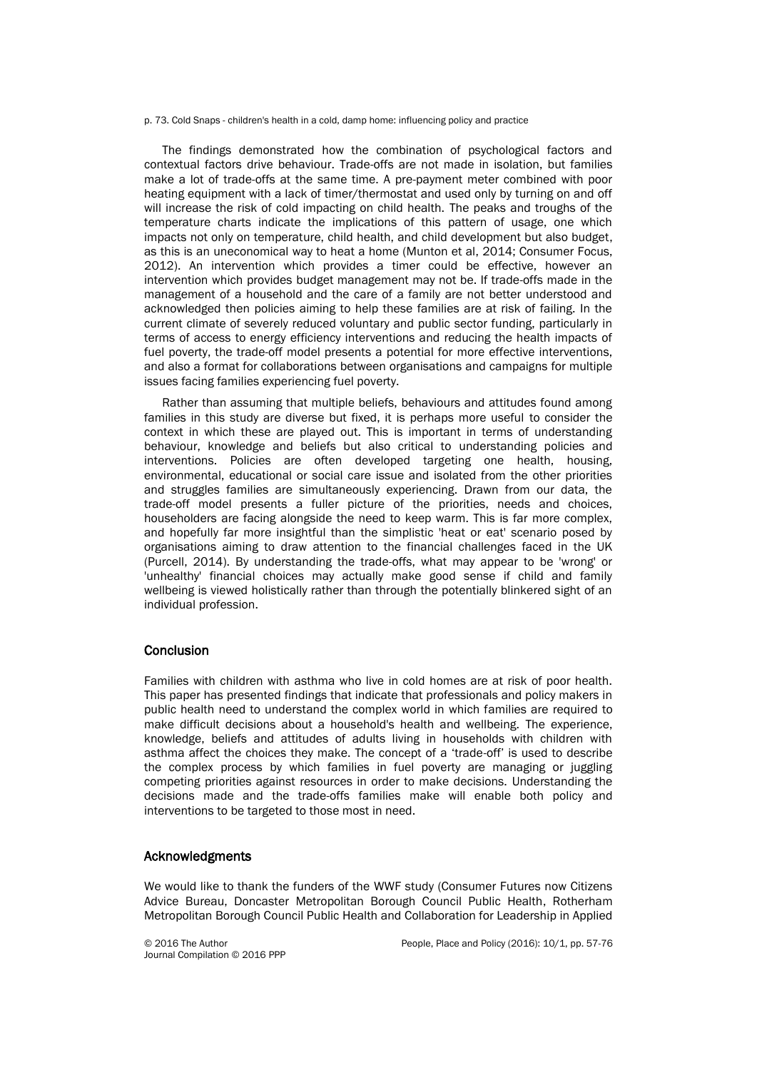p. 73. Cold Snaps - children's health in a cold, damp home: influencing policy and practice

The findings demonstrated how the combination of psychological factors and contextual factors drive behaviour. Trade-offs are not made in isolation, but families make a lot of trade-offs at the same time. A pre-payment meter combined with poor heating equipment with a lack of timer/thermostat and used only by turning on and off will increase the risk of cold impacting on child health. The peaks and troughs of the temperature charts indicate the implications of this pattern of usage, one which impacts not only on temperature, child health, and child development but also budget, as this is an uneconomical way to heat a home (Munton et al, 2014; Consumer Focus, 2012). An intervention which provides a timer could be effective, however an intervention which provides budget management may not be. If trade-offs made in the management of a household and the care of a family are not better understood and acknowledged then policies aiming to help these families are at risk of failing. In the current climate of severely reduced voluntary and public sector funding, particularly in terms of access to energy efficiency interventions and reducing the health impacts of fuel poverty, the trade-off model presents a potential for more effective interventions, and also a format for collaborations between organisations and campaigns for multiple issues facing families experiencing fuel poverty.

Rather than assuming that multiple beliefs, behaviours and attitudes found among families in this study are diverse but fixed, it is perhaps more useful to consider the context in which these are played out. This is important in terms of understanding behaviour, knowledge and beliefs but also critical to understanding policies and interventions. Policies are often developed targeting one health, housing, environmental, educational or social care issue and isolated from the other priorities and struggles families are simultaneously experiencing. Drawn from our data, the trade-off model presents a fuller picture of the priorities, needs and choices, householders are facing alongside the need to keep warm. This is far more complex, and hopefully far more insightful than the simplistic 'heat or eat' scenario posed by organisations aiming to draw attention to the financial challenges faced in the UK (Purcell, 2014). By understanding the trade-offs, what may appear to be 'wrong' or 'unhealthy' financial choices may actually make good sense if child and family wellbeing is viewed holistically rather than through the potentially blinkered sight of an individual profession.

#### **Conclusion**

Families with children with asthma who live in cold homes are at risk of poor health. This paper has presented findings that indicate that professionals and policy makers in public health need to understand the complex world in which families are required to make difficult decisions about a household's health and wellbeing. The experience, knowledge, beliefs and attitudes of adults living in households with children with asthma affect the choices they make. The concept of a 'trade-off' is used to describe the complex process by which families in fuel poverty are managing or juggling competing priorities against resources in order to make decisions. Understanding the decisions made and the trade-offs families make will enable both policy and interventions to be targeted to those most in need.

#### Acknowledgments

We would like to thank the funders of the WWF study (Consumer Futures now Citizens Advice Bureau, Doncaster Metropolitan Borough Council Public Health, Rotherham Metropolitan Borough Council Public Health and Collaboration for Leadership in Applied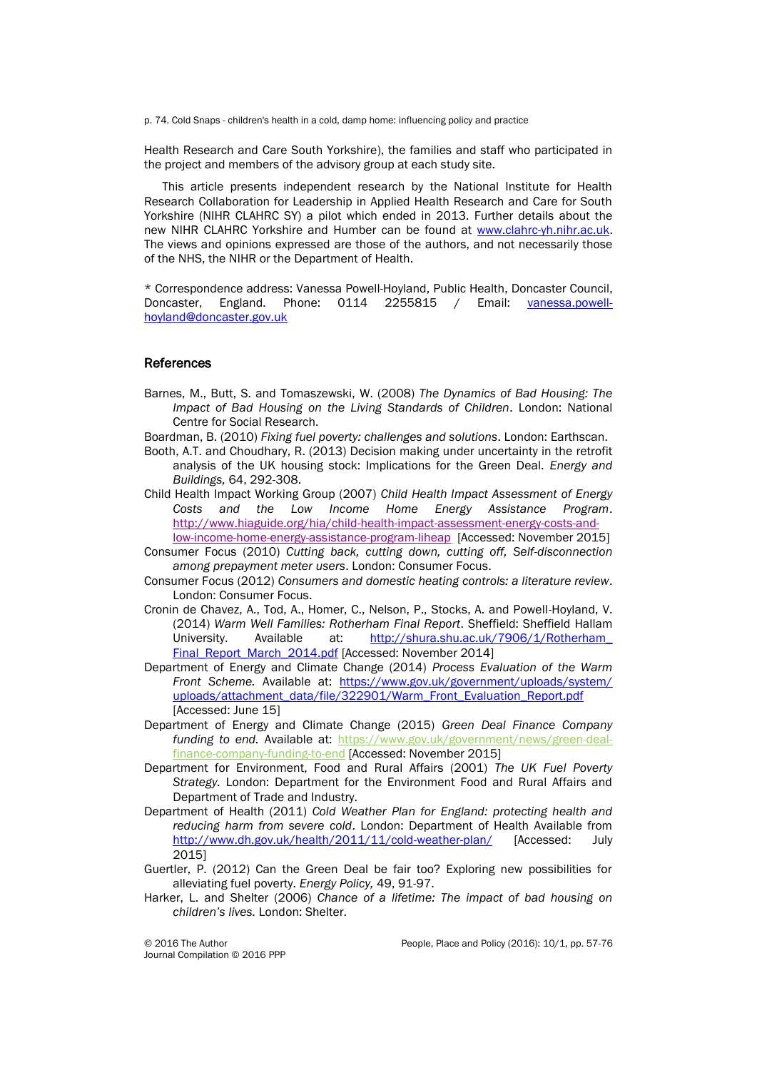p. 74. Cold Snaps - children's health in a cold, damp home: influencing policy and practice

Health Research and Care South Yorkshire), the families and staff who participated in the project and members of the advisory group at each study site.

This article presents independent research by the National Institute for Health Research Collaboration for Leadership in Applied Health Research and Care for South Yorkshire (NIHR CLAHRC SY) a pilot which ended in 2013. Further details about the new NIHR CLAHRC Yorkshire and Humber can be found at [www.clahrc-yh.nihr.ac.uk.](http://www.clahrc-yh.nihr.ac.uk/) The views and opinions expressed are those of the authors, and not necessarily those of the NHS, the NIHR or the Department of Health.

\* Correspondence address: Vanessa Powell-Hoyland, Public Health, Doncaster Council, Doncaster, England. Phone: 0114 2255815 / Email: [vanessa.powell](mailto:vanessa.powell-hoyland@doncaster.gov.uk)[hoyland@doncaster.gov.uk](mailto:vanessa.powell-hoyland@doncaster.gov.uk)

#### **References**

- Barnes, M., Butt, S. and Tomaszewski, W. (2008) *The Dynamics of Bad Housing: The Impact of Bad Housing on the Living Standards of Children*. London: National Centre for Social Research.
- Boardman, B. (2010) *Fixing fuel poverty: challenges and solutions*. London: Earthscan.
- Booth, A.T. and Choudhary, R. (2013) Decision making under uncertainty in the retrofit analysis of the UK housing stock: Implications for the Green Deal. *Energy and Buildings,* 64, 292-308.
- Child Health Impact Working Group (2007) *Child Health Impact Assessment of Energy Costs and the Low Income Home Energy Assistance Program*. [http://www.hiaguide.org/hia/child-health-impact-assessment-energy-costs-and](http://www.hiaguide.org/hia/child-health-impact-assessment-energy-costs-and-low-income-home-energy-assistance-program-liheap)[low-income-home-energy-assistance-program-liheap](http://www.hiaguide.org/hia/child-health-impact-assessment-energy-costs-and-low-income-home-energy-assistance-program-liheap) [Accessed: November 2015]
- Consumer Focus (2010) *Cutting back, cutting down, cutting off, Self-disconnection among prepayment meter users*. London: Consumer Focus.
- Consumer Focus (2012) *Consumers and domestic heating controls: a literature review*. London: Consumer Focus.
- Cronin de Chavez, A., Tod, A., Homer, C., Nelson, P., Stocks, A. and Powell-Hoyland, V. (2014) *Warm Well Families: Rotherham Final Report*. Sheffield: Sheffield Hallam University. Available at: [http://shura.shu.ac.uk/7906/1/Rotherham\\_](http://shura.shu.ac.uk/7906/1/Rotherham_Final_Report_March_2014.pdf) [Final\\_Report\\_March\\_2014.pdf](http://shura.shu.ac.uk/7906/1/Rotherham_Final_Report_March_2014.pdf) [Accessed: November 2014]
- Department of Energy and Climate Change (2014) *Process Evaluation of the Warm Front Scheme.* Available at: [https://www.gov.uk/government/uploads/system/](https://www.gov.uk/government/uploads/system/uploads/attachment_data/file/322901/Warm_Front_Evaluation_Report.pdf) uploads/attachment\_data/file/322901/Warm\_Front\_Evaluation\_Report.pdf [Accessed: June 15]
- Department of Energy and Climate Change (2015) *Green Deal Finance Company funding to end.* Available at: [https://www.gov.uk/government/news/green-deal](https://www.gov.uk/government/news/green-deal-finance-company-funding-to-end)[finance-company-funding-to-end](https://www.gov.uk/government/news/green-deal-finance-company-funding-to-end) [Accessed: November 2015]
- Department for Environment, Food and Rural Affairs (2001) *The UK Fuel Poverty Strategy.* London: Department for the Environment Food and Rural Affairs and Department of Trade and Industry.
- Department of Health (2011) *Cold Weather Plan for England: protecting health and reducing harm from severe cold*. London: Department of Health Available from <http://www.dh.gov.uk/health/2011/11/cold-weather-plan/> [Accessed: July 2015]
- Guertler, P. (2012) Can the Green Deal be fair too? Exploring new possibilities for alleviating fuel poverty. *Energy Policy,* 49, 91-97.
- Harker, L. and Shelter (2006) *Chance of a lifetime: The impact of bad housing on children's lives.* London: Shelter.

Journal Compilation © 2016 PPP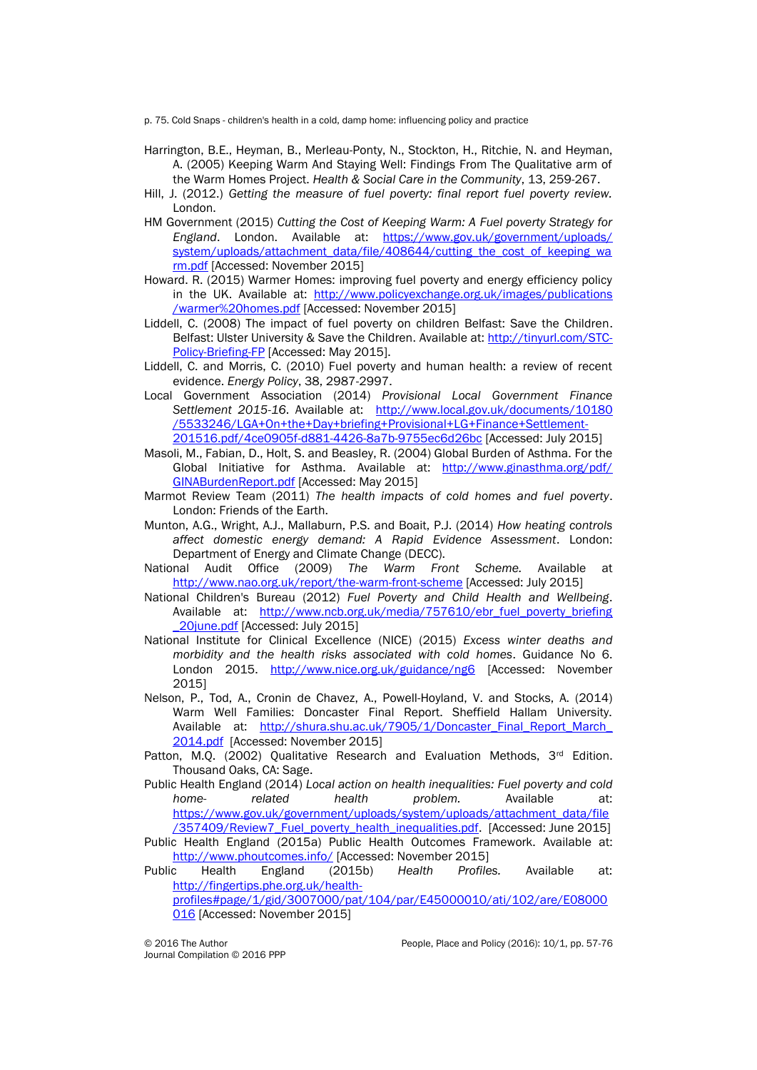p. 75. Cold Snaps - children's health in a cold, damp home: influencing policy and practice

- Harrington, B.E., Heyman, B., Merleau-Ponty, N., Stockton, H., Ritchie, N. and Heyman, A. (2005) Keeping Warm And Staying Well: Findings From The Qualitative arm of the Warm Homes Project. *Health & Social Care in the Community*, 13, 259-267.
- Hill, J. (2012.) *Getting the measure of fuel poverty: final report fuel poverty review.* London.
- HM Government (2015) *Cutting the Cost of Keeping Warm: A Fuel poverty Strategy for England*. London. Available at: [https://www.gov.uk/government/uploads/](https://www.gov.uk/government/uploads/system/uploads/attachment_data/file/408644/cutting_the_cost_of_keeping_warm.pdf) [system/uploads/attachment\\_data/file/408644/cutting\\_the\\_cost\\_of\\_keeping\\_wa](https://www.gov.uk/government/uploads/system/uploads/attachment_data/file/408644/cutting_the_cost_of_keeping_warm.pdf) [rm.pdf](https://www.gov.uk/government/uploads/system/uploads/attachment_data/file/408644/cutting_the_cost_of_keeping_warm.pdf) [Accessed: November 2015]
- Howard. R. (2015) Warmer Homes: improving fuel poverty and energy efficiency policy in the UK. Available at: [http://www.policyexchange.org.uk/images/publications](http://www.policyexchange.org.uk/images/publications/warmer%20homes.pdf) [/warmer%20homes.pdf](http://www.policyexchange.org.uk/images/publications/warmer%20homes.pdf) [Accessed: November 2015]
- Liddell, C. (2008) The impact of fuel poverty on children Belfast: Save the Children. Belfast: Ulster University & Save the Children. Available at: [http://tinyurl.com/STC-](http://tinyurl.com/STC-Policy-Briefing-FP)[Policy-Briefing-FP](http://tinyurl.com/STC-Policy-Briefing-FP) [Accessed: May 2015].
- Liddell, C. and Morris, C. (2010) Fuel poverty and human health: a review of recent evidence. *Energy Policy*, 38, 2987-2997.
- Local Government Association (2014) *Provisional Local Government Finance*  Settlement 2015-16. Available at: [http://www.local.gov.uk/documents/10180](http://www.local.gov.uk/documents/10180/5533246/LGA+On+the+Day+briefing+Provisional+LG+Finance+Settlement-201516.pdf/4ce0905f-d881-4426-8a7b-9755ec6d26bc) [/5533246/LGA+On+the+Day+briefing+Provisional+LG+Finance+Settlement-](http://www.local.gov.uk/documents/10180/5533246/LGA+On+the+Day+briefing+Provisional+LG+Finance+Settlement-201516.pdf/4ce0905f-d881-4426-8a7b-9755ec6d26bc)[201516.pdf/4ce0905f-d881-4426-8a7b-9755ec6d26bc](http://www.local.gov.uk/documents/10180/5533246/LGA+On+the+Day+briefing+Provisional+LG+Finance+Settlement-201516.pdf/4ce0905f-d881-4426-8a7b-9755ec6d26bc) [Accessed: July 2015]
- Masoli, M., Fabian, D., Holt, S. and Beasley, R. (2004) Global Burden of Asthma. For the Global Initiative for Asthma. Available at: [http://www.ginasthma.org/pdf/](http://www.ginasthma.org/pdf/GINABurdenReport.pdf) [GINABurdenReport.pdf](http://www.ginasthma.org/pdf/GINABurdenReport.pdf) [Accessed: May 2015]
- Marmot Review Team (2011) *The health impacts of cold homes and fuel poverty*. London: Friends of the Earth.
- Munton, A.G., Wright, A.J., Mallaburn, P.S. and Boait, P.J. (2014) *How heating controls affect domestic energy demand: A Rapid Evidence Assessment*. London: Department of Energy and Climate Change (DECC).
- National Audit Office (2009) *The Warm Front Scheme.* Available at <http://www.nao.org.uk/report/the-warm-front-scheme> [Accessed: July 2015]
- National Children's Bureau (2012) *Fuel Poverty and Child Health and Wellbeing*. Available at: [http://www.ncb.org.uk/media/757610/ebr\\_fuel\\_poverty\\_briefing](http://www.ncb.org.uk/media/757610/ebr_fuel_poverty_briefing_20june.pdf) [\\_20june.pdf](http://www.ncb.org.uk/media/757610/ebr_fuel_poverty_briefing_20june.pdf) [Accessed: July 2015]
- National Institute for Clinical Excellence (NICE) (2015) *Excess winter deaths and morbidity and the health risks associated with cold homes*. Guidance No 6. London 2015. <http://www.nice.org.uk/guidance/ng6> [Accessed: November 2015]
- Nelson, P., Tod, A., Cronin de Chavez, A., Powell-Hoyland, V. and Stocks, A. (2014) Warm Well Families: Doncaster Final Report. Sheffield Hallam University. Available at: [http://shura.shu.ac.uk/7905/1/Doncaster\\_Final\\_Report\\_March\\_](http://shura.shu.ac.uk/7905/1/Doncaster_Final_Report_March_%0b2014.pdf) [2014.pdf](http://shura.shu.ac.uk/7905/1/Doncaster_Final_Report_March_%0b2014.pdf) [Accessed: November 2015]
- Patton, M.Q. (2002) Qualitative Research and Evaluation Methods,  $3<sup>rd</sup>$  Edition. Thousand Oaks, CA: Sage.

Public Health England (2014) *Local action on health inequalities: Fuel poverty and cold home- related health problem.* Available at: [https://www.gov.uk/government/uploads/system/uploads/attachment\\_data/file](https://www.gov.uk/government/uploads/system/uploads/attachment_data/file/357409/Review7_Fuel_poverty_health_inequalities.pdf) [/357409/Review7\\_Fuel\\_poverty\\_health\\_inequalities.pdf.](https://www.gov.uk/government/uploads/system/uploads/attachment_data/file/357409/Review7_Fuel_poverty_health_inequalities.pdf) [Accessed: June 2015]

Public Health England (2015a) Public Health Outcomes Framework. Available at: <http://www.phoutcomes.info/> [Accessed: November 2015]

Public Health England (2015b) *Health Profiles.* Available at: [http://fingertips.phe.org.uk/health](http://fingertips.phe.org.uk/health-profiles#page/1/gid/3007000/pat/104/par/E45000010/ati/102/are/E08000016)[profiles#page/1/gid/3007000/pat/104/par/E45000010/ati/102/are/E08000](http://fingertips.phe.org.uk/health-profiles#page/1/gid/3007000/pat/104/par/E45000010/ati/102/are/E08000016)

[016](http://fingertips.phe.org.uk/health-profiles#page/1/gid/3007000/pat/104/par/E45000010/ati/102/are/E08000016) [Accessed: November 2015]